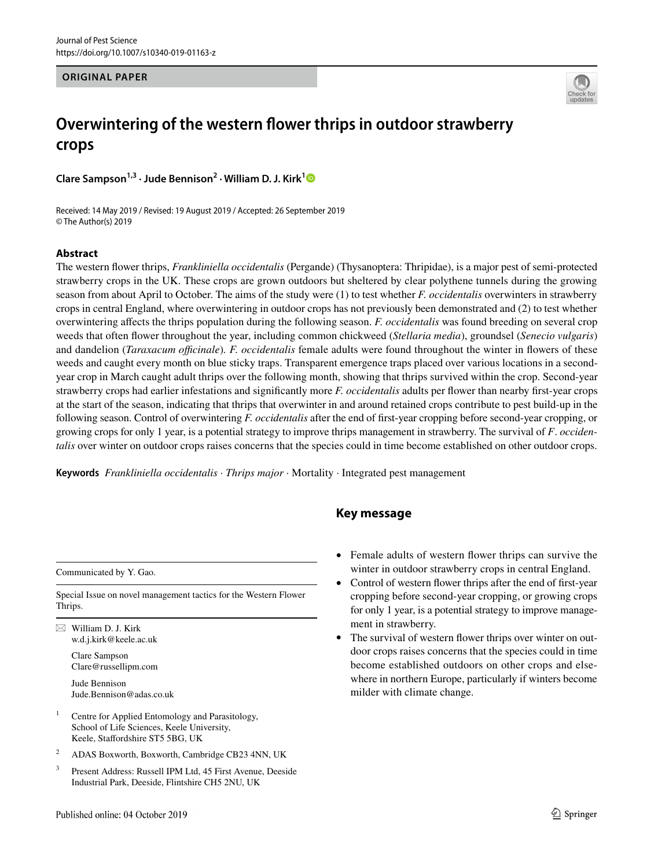#### **ORIGINAL PAPER**



# **Overwintering of the western fower thrips in outdoor strawberry crops**

**Clare Sampson1,3 · Jude Bennison2 · William D. J. Kirk[1](http://orcid.org/0000-0001-8586-4518)**

Received: 14 May 2019 / Revised: 19 August 2019 / Accepted: 26 September 2019 © The Author(s) 2019

#### **Abstract**

The western fower thrips, *Frankliniella occidentalis* (Pergande) (Thysanoptera: Thripidae), is a major pest of semi-protected strawberry crops in the UK. These crops are grown outdoors but sheltered by clear polythene tunnels during the growing season from about April to October. The aims of the study were (1) to test whether *F. occidentalis* overwinters in strawberry crops in central England, where overwintering in outdoor crops has not previously been demonstrated and (2) to test whether overwintering afects the thrips population during the following season. *F. occidentalis* was found breeding on several crop weeds that often fower throughout the year, including common chickweed (*Stellaria media*), groundsel (*Senecio vulgaris*) and dandelion (*Taraxacum ofcinale*)*. F. occidentalis* female adults were found throughout the winter in fowers of these weeds and caught every month on blue sticky traps. Transparent emergence traps placed over various locations in a secondyear crop in March caught adult thrips over the following month, showing that thrips survived within the crop. Second-year strawberry crops had earlier infestations and signifcantly more *F. occidentalis* adults per fower than nearby frst-year crops at the start of the season, indicating that thrips that overwinter in and around retained crops contribute to pest build-up in the following season. Control of overwintering *F. occidentalis* after the end of frst-year cropping before second-year cropping, or growing crops for only 1 year, is a potential strategy to improve thrips management in strawberry. The survival of *F*. *occidentalis* over winter on outdoor crops raises concerns that the species could in time become established on other outdoor crops.

**Keywords** *Frankliniella occidentalis* · *Thrips major* · Mortality · Integrated pest management

## **Key message**

Communicated by Y. Gao.

Special Issue on novel management tactics for the Western Flower Thrips.

 $\boxtimes$  William D. J. Kirk w.d.j.kirk@keele.ac.uk

> Clare Sampson Clare@russellipm.com

Jude Bennison Jude.Bennison@adas.co.uk

- <sup>1</sup> Centre for Applied Entomology and Parasitology, School of Life Sciences, Keele University, Keele, Stafordshire ST5 5BG, UK
- <sup>2</sup> ADAS Boxworth, Boxworth, Cambridge CB23 4NN, UK
- <sup>3</sup> Present Address: Russell IPM Ltd, 45 First Avenue, Deeside Industrial Park, Deeside, Flintshire CH5 2NU, UK
- Female adults of western flower thrips can survive the winter in outdoor strawberry crops in central England.
- Control of western flower thrips after the end of first-year cropping before second-year cropping, or growing crops for only 1 year, is a potential strategy to improve management in strawberry.
- The survival of western flower thrips over winter on outdoor crops raises concerns that the species could in time become established outdoors on other crops and elsewhere in northern Europe, particularly if winters become milder with climate change.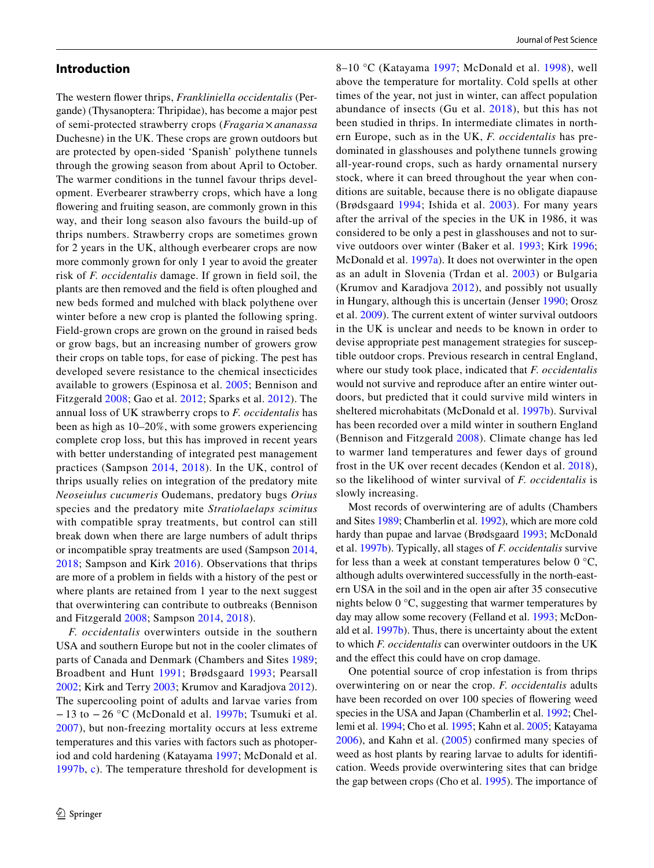#### **Introduction**

The western fower thrips, *Frankliniella occidentalis* (Pergande) (Thysanoptera: Thripidae), has become a major pest of semi-protected strawberry crops (*Fragaria* × *ananassa* Duchesne) in the UK. These crops are grown outdoors but are protected by open-sided 'Spanish' polythene tunnels through the growing season from about April to October. The warmer conditions in the tunnel favour thrips development. Everbearer strawberry crops, which have a long fowering and fruiting season, are commonly grown in this way, and their long season also favours the build-up of thrips numbers. Strawberry crops are sometimes grown for 2 years in the UK, although everbearer crops are now more commonly grown for only 1 year to avoid the greater risk of *F. occidentalis* damage. If grown in feld soil, the plants are then removed and the feld is often ploughed and new beds formed and mulched with black polythene over winter before a new crop is planted the following spring. Field-grown crops are grown on the ground in raised beds or grow bags, but an increasing number of growers grow their crops on table tops, for ease of picking. The pest has developed severe resistance to the chemical insecticides available to growers (Espinosa et al. [2005](#page-8-0); Bennison and Fitzgerald [2008](#page-8-1); Gao et al. [2012;](#page-8-2) Sparks et al. [2012\)](#page-9-0). The annual loss of UK strawberry crops to *F. occidentalis* has been as high as 10–20%, with some growers experiencing complete crop loss, but this has improved in recent years with better understanding of integrated pest management practices (Sampson [2014,](#page-8-3) [2018](#page-8-4)). In the UK, control of thrips usually relies on integration of the predatory mite *Neoseiulus cucumeris* Oudemans, predatory bugs *Orius* species and the predatory mite *Stratiolaelaps scimitus* with compatible spray treatments, but control can still break down when there are large numbers of adult thrips or incompatible spray treatments are used (Sampson [2014,](#page-8-3) [2018;](#page-8-4) Sampson and Kirk [2016](#page-9-1)). Observations that thrips are more of a problem in felds with a history of the pest or where plants are retained from 1 year to the next suggest that overwintering can contribute to outbreaks (Bennison and Fitzgerald [2008](#page-8-1); Sampson [2014,](#page-8-3) [2018](#page-8-4)).

*F. occidentalis* overwinters outside in the southern USA and southern Europe but not in the cooler climates of parts of Canada and Denmark (Chambers and Sites [1989](#page-8-5); Broadbent and Hunt [1991](#page-8-6); Brødsgaard [1993](#page-8-7); Pearsall [2002](#page-8-8); Kirk and Terry [2003](#page-8-9); Krumov and Karadjova [2012](#page-8-10)). The supercooling point of adults and larvae varies from − 13 to − 26 °C (McDonald et al. [1997b](#page-8-11); Tsumuki et al. [2007\)](#page-9-2), but non-freezing mortality occurs at less extreme temperatures and this varies with factors such as photoperiod and cold hardening (Katayama [1997;](#page-8-12) McDonald et al. [1997b](#page-8-11), [c](#page-8-13)). The temperature threshold for development is 8–10 °C (Katayama [1997;](#page-8-12) McDonald et al. [1998\)](#page-8-14), well above the temperature for mortality. Cold spells at other times of the year, not just in winter, can afect population abundance of insects (Gu et al. [2018](#page-8-15)), but this has not been studied in thrips. In intermediate climates in northern Europe, such as in the UK, *F. occidentalis* has predominated in glasshouses and polythene tunnels growing all-year-round crops, such as hardy ornamental nursery stock, where it can breed throughout the year when conditions are suitable, because there is no obligate diapause (Brødsgaard [1994;](#page-8-16) Ishida et al. [2003](#page-8-17)). For many years after the arrival of the species in the UK in 1986, it was considered to be only a pest in glasshouses and not to survive outdoors over winter (Baker et al. [1993;](#page-7-0) Kirk [1996](#page-8-18); McDonald et al. [1997a](#page-8-19)). It does not overwinter in the open as an adult in Slovenia (Trdan et al. [2003](#page-9-3)) or Bulgaria (Krumov and Karadjova [2012\)](#page-8-10), and possibly not usually in Hungary, although this is uncertain (Jenser [1990;](#page-8-20) Orosz et al. [2009\)](#page-8-21). The current extent of winter survival outdoors in the UK is unclear and needs to be known in order to devise appropriate pest management strategies for susceptible outdoor crops. Previous research in central England, where our study took place, indicated that *F. occidentalis* would not survive and reproduce after an entire winter outdoors, but predicted that it could survive mild winters in sheltered microhabitats (McDonald et al. [1997b\)](#page-8-11). Survival has been recorded over a mild winter in southern England (Bennison and Fitzgerald [2008\)](#page-8-1). Climate change has led to warmer land temperatures and fewer days of ground frost in the UK over recent decades (Kendon et al. [2018](#page-8-22)), so the likelihood of winter survival of *F. occidentalis* is slowly increasing.

Most records of overwintering are of adults (Chambers and Sites [1989](#page-8-5); Chamberlin et al. [1992](#page-8-23)), which are more cold hardy than pupae and larvae (Brødsgaard [1993;](#page-8-7) McDonald et al. [1997b\)](#page-8-11). Typically, all stages of *F. occidentalis* survive for less than a week at constant temperatures below  $0^{\circ}C$ , although adults overwintered successfully in the north-eastern USA in the soil and in the open air after 35 consecutive nights below 0 °C, suggesting that warmer temperatures by day may allow some recovery (Felland et al. [1993](#page-8-24); McDonald et al. [1997b\)](#page-8-11). Thus, there is uncertainty about the extent to which *F. occidentalis* can overwinter outdoors in the UK and the efect this could have on crop damage.

One potential source of crop infestation is from thrips overwintering on or near the crop. *F. occidentalis* adults have been recorded on over 100 species of fowering weed species in the USA and Japan (Chamberlin et al. [1992](#page-8-23); Chellemi et al. [1994](#page-8-25); Cho et al. [1995;](#page-8-26) Kahn et al. [2005;](#page-8-27) Katayama [2006\)](#page-8-28), and Kahn et al. ([2005](#page-8-27)) confrmed many species of weed as host plants by rearing larvae to adults for identifcation. Weeds provide overwintering sites that can bridge the gap between crops (Cho et al. [1995\)](#page-8-26). The importance of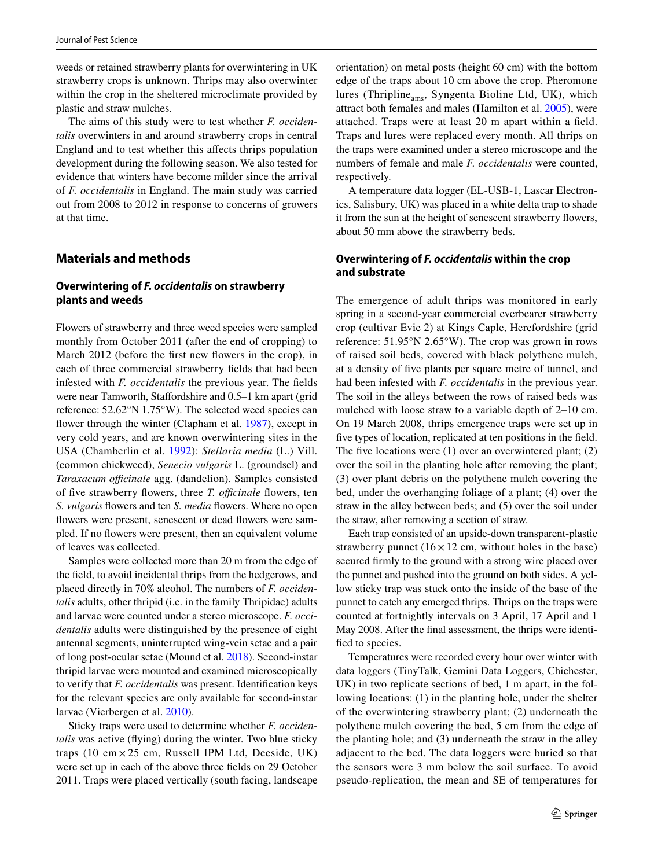weeds or retained strawberry plants for overwintering in UK strawberry crops is unknown. Thrips may also overwinter within the crop in the sheltered microclimate provided by plastic and straw mulches.

The aims of this study were to test whether *F. occidentalis* overwinters in and around strawberry crops in central England and to test whether this afects thrips population development during the following season. We also tested for evidence that winters have become milder since the arrival of *F. occidentalis* in England. The main study was carried out from 2008 to 2012 in response to concerns of growers at that time.

## **Materials and methods**

#### **Overwintering of** *F. occidentalis* **on strawberry plants and weeds**

Flowers of strawberry and three weed species were sampled monthly from October 2011 (after the end of cropping) to March 2012 (before the frst new fowers in the crop), in each of three commercial strawberry felds that had been infested with *F. occidentalis* the previous year. The felds were near Tamworth, Staffordshire and 0.5–1 km apart (grid reference: 52.62°N 1.75°W). The selected weed species can flower through the winter (Clapham et al. [1987\)](#page-8-29), except in very cold years, and are known overwintering sites in the USA (Chamberlin et al. [1992](#page-8-23)): *Stellaria media* (L.) Vill. (common chickweed), *Senecio vulgaris* L. (groundsel) and *Taraxacum officinale* agg. (dandelion). Samples consisted of five strawberry flowers, three *T. officinale* flowers, ten *S. vulgaris* fowers and ten *S. media* fowers. Where no open flowers were present, senescent or dead flowers were sampled. If no fowers were present, then an equivalent volume of leaves was collected.

Samples were collected more than 20 m from the edge of the feld, to avoid incidental thrips from the hedgerows, and placed directly in 70% alcohol. The numbers of *F. occidentalis* adults, other thripid (i.e. in the family Thripidae) adults and larvae were counted under a stereo microscope. *F. occidentalis* adults were distinguished by the presence of eight antennal segments, uninterrupted wing-vein setae and a pair of long post-ocular setae (Mound et al. [2018](#page-8-30)). Second-instar thripid larvae were mounted and examined microscopically to verify that *F. occidentalis* was present. Identifcation keys for the relevant species are only available for second-instar larvae (Vierbergen et al. [2010](#page-9-4)).

Sticky traps were used to determine whether *F. occidentalis* was active (fying) during the winter. Two blue sticky traps  $(10 \text{ cm} \times 25 \text{ cm}, \text{Russell IPM Ltd}, \text{Descide}, \text{UK})$ were set up in each of the above three felds on 29 October 2011. Traps were placed vertically (south facing, landscape orientation) on metal posts (height 60 cm) with the bottom edge of the traps about 10 cm above the crop. Pheromone lures (Thripline $_{\text{ams}}$ , Syngenta Bioline Ltd, UK), which attract both females and males (Hamilton et al. [2005\)](#page-8-31), were attached. Traps were at least 20 m apart within a feld. Traps and lures were replaced every month. All thrips on the traps were examined under a stereo microscope and the numbers of female and male *F. occidentalis* were counted, respectively.

A temperature data logger (EL-USB-1, Lascar Electronics, Salisbury, UK) was placed in a white delta trap to shade it from the sun at the height of senescent strawberry fowers, about 50 mm above the strawberry beds.

## **Overwintering of** *F. occidentalis* **within the crop and substrate**

The emergence of adult thrips was monitored in early spring in a second-year commercial everbearer strawberry crop (cultivar Evie 2) at Kings Caple, Herefordshire (grid reference: 51.95°N 2.65°W). The crop was grown in rows of raised soil beds, covered with black polythene mulch, at a density of fve plants per square metre of tunnel, and had been infested with *F. occidentalis* in the previous year. The soil in the alleys between the rows of raised beds was mulched with loose straw to a variable depth of 2–10 cm. On 19 March 2008, thrips emergence traps were set up in fve types of location, replicated at ten positions in the feld. The five locations were  $(1)$  over an overwintered plant;  $(2)$ over the soil in the planting hole after removing the plant; (3) over plant debris on the polythene mulch covering the bed, under the overhanging foliage of a plant; (4) over the straw in the alley between beds; and (5) over the soil under the straw, after removing a section of straw.

Each trap consisted of an upside-down transparent-plastic strawberry punnet  $(16 \times 12 \text{ cm}, \text{ without holes in the base})$ secured frmly to the ground with a strong wire placed over the punnet and pushed into the ground on both sides. A yellow sticky trap was stuck onto the inside of the base of the punnet to catch any emerged thrips. Thrips on the traps were counted at fortnightly intervals on 3 April, 17 April and 1 May 2008. After the fnal assessment, the thrips were identifed to species.

Temperatures were recorded every hour over winter with data loggers (TinyTalk, Gemini Data Loggers, Chichester, UK) in two replicate sections of bed, 1 m apart, in the following locations: (1) in the planting hole, under the shelter of the overwintering strawberry plant; (2) underneath the polythene mulch covering the bed, 5 cm from the edge of the planting hole; and (3) underneath the straw in the alley adjacent to the bed. The data loggers were buried so that the sensors were 3 mm below the soil surface. To avoid pseudo-replication, the mean and SE of temperatures for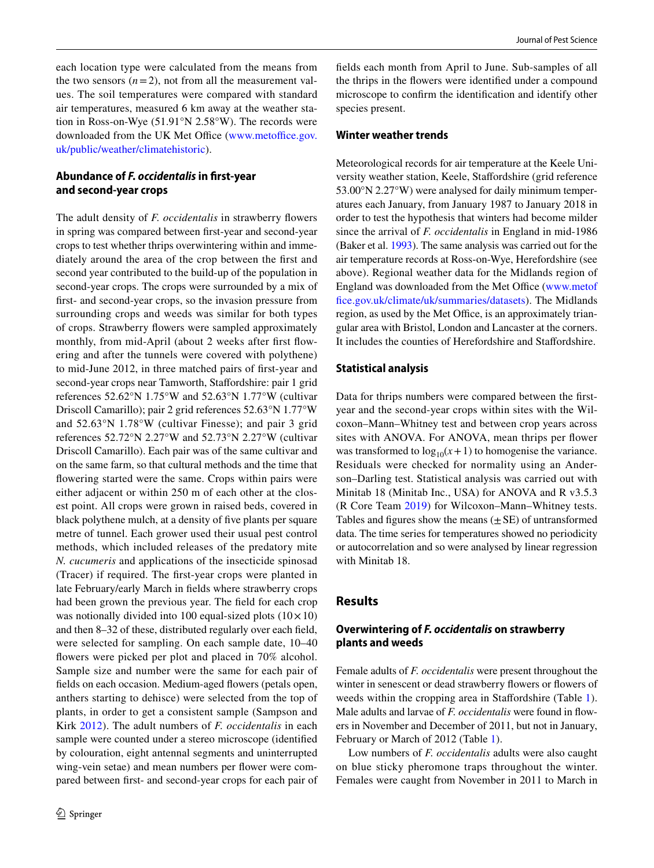each location type were calculated from the means from the two sensors  $(n=2)$ , not from all the measurement values. The soil temperatures were compared with standard air temperatures, measured 6 km away at the weather station in Ross-on-Wye (51.91°N 2.58°W). The records were downloaded from the UK Met Office [\(www.metoffice.gov.](http://www.metoffice.gov.uk/public/weather/climatehistoric) [uk/public/weather/climatehistoric](http://www.metoffice.gov.uk/public/weather/climatehistoric)).

## **Abundance of** *F. occidentalis* **in frst‑year and second‑year crops**

The adult density of *F. occidentalis* in strawberry fowers in spring was compared between frst-year and second-year crops to test whether thrips overwintering within and immediately around the area of the crop between the frst and second year contributed to the build-up of the population in second-year crops. The crops were surrounded by a mix of frst- and second-year crops, so the invasion pressure from surrounding crops and weeds was similar for both types of crops. Strawberry fowers were sampled approximately monthly, from mid-April (about 2 weeks after first flowering and after the tunnels were covered with polythene) to mid-June 2012, in three matched pairs of frst-year and second-year crops near Tamworth, Stafordshire: pair 1 grid references 52.62°N 1.75°W and 52.63°N 1.77°W (cultivar Driscoll Camarillo); pair 2 grid references 52.63°N 1.77°W and 52.63°N 1.78°W (cultivar Finesse); and pair 3 grid references 52.72°N 2.27°W and 52.73°N 2.27°W (cultivar Driscoll Camarillo). Each pair was of the same cultivar and on the same farm, so that cultural methods and the time that fowering started were the same. Crops within pairs were either adjacent or within 250 m of each other at the closest point. All crops were grown in raised beds, covered in black polythene mulch, at a density of fve plants per square metre of tunnel. Each grower used their usual pest control methods, which included releases of the predatory mite *N. cucumeris* and applications of the insecticide spinosad (Tracer) if required. The frst-year crops were planted in late February/early March in felds where strawberry crops had been grown the previous year. The feld for each crop was notionally divided into 100 equal-sized plots  $(10 \times 10)$ and then 8–32 of these, distributed regularly over each feld, were selected for sampling. On each sample date, 10–40 fowers were picked per plot and placed in 70% alcohol. Sample size and number were the same for each pair of fields on each occasion. Medium-aged flowers (petals open, anthers starting to dehisce) were selected from the top of plants, in order to get a consistent sample (Sampson and Kirk [2012](#page-8-32)). The adult numbers of *F. occidentalis* in each sample were counted under a stereo microscope (identifed by colouration, eight antennal segments and uninterrupted wing-vein setae) and mean numbers per flower were compared between frst- and second-year crops for each pair of felds each month from April to June. Sub-samples of all the thrips in the fowers were identifed under a compound microscope to confrm the identifcation and identify other species present.

#### **Winter weather trends**

Meteorological records for air temperature at the Keele University weather station, Keele, Stafordshire (grid reference 53.00°N 2.27°W) were analysed for daily minimum temperatures each January, from January 1987 to January 2018 in order to test the hypothesis that winters had become milder since the arrival of *F. occidentalis* in England in mid-1986 (Baker et al. [1993\)](#page-7-0). The same analysis was carried out for the air temperature records at Ross-on-Wye, Herefordshire (see above). Regional weather data for the Midlands region of England was downloaded from the Met Office [\(www.metof](http://www.metoffice.gov.uk/climate/uk/summaries/datasets) [fce.gov.uk/climate/uk/summaries/datasets\)](http://www.metoffice.gov.uk/climate/uk/summaries/datasets). The Midlands region, as used by the Met Office, is an approximately triangular area with Bristol, London and Lancaster at the corners. It includes the counties of Herefordshire and Stafordshire.

#### **Statistical analysis**

Data for thrips numbers were compared between the frstyear and the second-year crops within sites with the Wilcoxon–Mann–Whitney test and between crop years across sites with ANOVA. For ANOVA, mean thrips per fower was transformed to  $log_{10}(x+1)$  to homogenise the variance. Residuals were checked for normality using an Anderson–Darling test. Statistical analysis was carried out with Minitab 18 (Minitab Inc., USA) for ANOVA and R v3.5.3 (R Core Team [2019](#page-8-33)) for Wilcoxon–Mann–Whitney tests. Tables and figures show the means  $(\pm SE)$  of untransformed data. The time series for temperatures showed no periodicity or autocorrelation and so were analysed by linear regression with Minitab 18.

## **Results**

#### **Overwintering of** *F. occidentalis* **on strawberry plants and weeds**

Female adults of *F. occidentalis* were present throughout the winter in senescent or dead strawberry flowers or flowers of weeds within the cropping area in Staffordshire (Table [1](#page-4-0)). Male adults and larvae of *F. occidentalis* were found in fowers in November and December of 2011, but not in January, February or March of 2012 (Table [1\)](#page-4-0).

Low numbers of *F. occidentalis* adults were also caught on blue sticky pheromone traps throughout the winter. Females were caught from November in 2011 to March in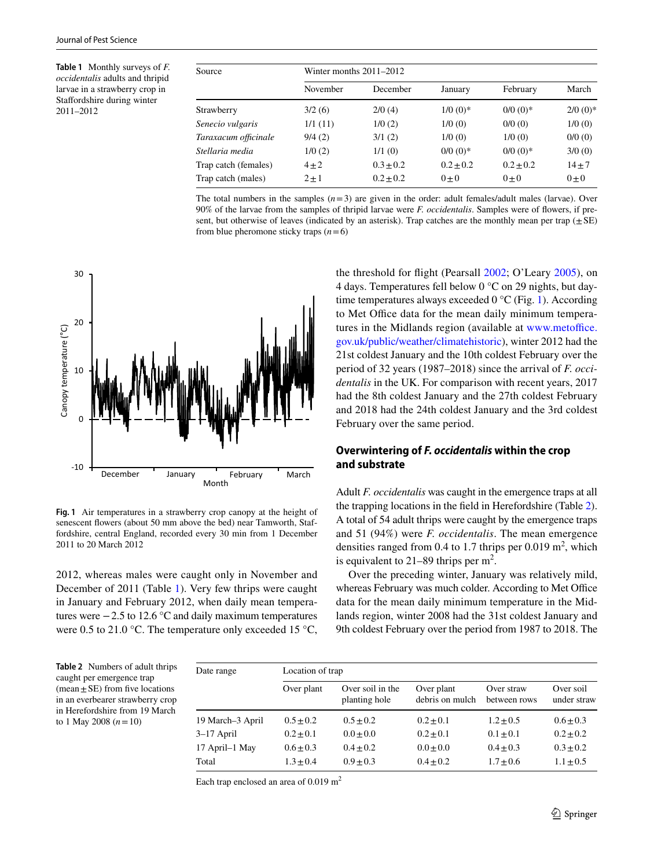<span id="page-4-0"></span>**Table 1** Monthly surveys of *F. occidentalis* adults and thripid larvae in a strawberry crop in Stafordshire during winter 2011–2012

| Source               | Winter months $2011-2012$ |               |               |               |            |  |  |
|----------------------|---------------------------|---------------|---------------|---------------|------------|--|--|
|                      | November                  | December      | January       | February      | March      |  |  |
| Strawberry           | 3/2(6)                    | 2/0(4)        | $1/0$ (0)*    | $0/0$ $(0)*$  | $2/0$ (0)* |  |  |
| Senecio vulgaris     | 1/1(11)                   | 1/0(2)        | 1/0(0)        | 0/0(0)        | 1/0(0)     |  |  |
| Taraxacum officinale | 9/4(2)                    | 3/1(2)        | 1/0(0)        | 1/0(0)        | 0/0(0)     |  |  |
| Stellaria media      | 1/0(2)                    | 1/1(0)        | $0/0$ (0)*    | $0/0$ $(0)*$  | 3/0(0)     |  |  |
| Trap catch (females) | $4\pm 2$                  | $0.3 \pm 0.2$ | $0.2 \pm 0.2$ | $0.2 \pm 0.2$ | $14 + 7$   |  |  |
| Trap catch (males)   | $2 \pm 1$                 | $0.2 \pm 0.2$ | $0 + 0$       | $0 + 0$       | $0\pm 0$   |  |  |

The total numbers in the samples  $(n=3)$  are given in the order: adult females/adult males (larvae). Over 90% of the larvae from the samples of thripid larvae were *F. occidentalis*. Samples were of fowers, if present, but otherwise of leaves (indicated by an asterisk). Trap catches are the monthly mean per trap ( $\pm$ SE) from blue pheromone sticky traps  $(n=6)$ 



<span id="page-4-1"></span>**Fig. 1** Air temperatures in a strawberry crop canopy at the height of senescent fowers (about 50 mm above the bed) near Tamworth, Staffordshire, central England, recorded every 30 min from 1 December 2011 to 20 March 2012

2012, whereas males were caught only in November and December of 2011 (Table [1](#page-4-0)). Very few thrips were caught in January and February 2012, when daily mean temperatures were −2.5 to 12.6 °C and daily maximum temperatures were 0.5 to 21.0 °C. The temperature only exceeded 15 °C,

the threshold for fight (Pearsall [2002](#page-8-8); O'Leary [2005](#page-8-34)), on 4 days. Temperatures fell below 0 °C on 29 nights, but daytime temperatures always exceeded  $0^{\circ}$ C (Fig. [1](#page-4-1)). According to Met Office data for the mean daily minimum temperatures in the Midlands region (available at [www.metoffice.](http://www.metoffice.gov.uk/public/weather/climatehistoric) [gov.uk/public/weather/climatehistoric](http://www.metoffice.gov.uk/public/weather/climatehistoric)), winter 2012 had the 21st coldest January and the 10th coldest February over the period of 32 years (1987–2018) since the arrival of *F. occidentalis* in the UK. For comparison with recent years, 2017 had the 8th coldest January and the 27th coldest February and 2018 had the 24th coldest January and the 3rd coldest February over the same period.

## **Overwintering of** *F. occidentalis* **within the crop and substrate**

Adult *F. occidentalis* was caught in the emergence traps at all the trapping locations in the feld in Herefordshire (Table [2](#page-4-2)). A total of 54 adult thrips were caught by the emergence traps and 51 (94%) were *F. occidentalis*. The mean emergence densities ranged from 0.4 to 1.7 thrips per 0.019  $m^2$ , which is equivalent to  $21-89$  thrips per m<sup>2</sup>.

Over the preceding winter, January was relatively mild, whereas February was much colder. According to Met Office data for the mean daily minimum temperature in the Midlands region, winter 2008 had the 31st coldest January and 9th coldest February over the period from 1987 to 2018. The

<span id="page-4-2"></span>

| Table 2 Numbers of adult thrips                   |
|---------------------------------------------------|
| caught per emergence trap                         |
| $(\text{mean} \pm \text{SE})$ from five locations |
| in an everbearer strawberry crop                  |
| in Herefordshire from 19 March                    |
| to 1 May 2008 $(n=10)$                            |

| Date range       | Location of trap |                                   |                               |                            |                          |  |  |
|------------------|------------------|-----------------------------------|-------------------------------|----------------------------|--------------------------|--|--|
|                  | Over plant       | Over soil in the<br>planting hole | Over plant<br>debris on mulch | Over straw<br>between rows | Over soil<br>under straw |  |  |
| 19 March-3 April | $0.5 + 0.2$      | $0.5 \pm 0.2$                     | $0.2 \pm 0.1$                 | $1.2 \pm 0.5$              | $0.6 \pm 0.3$            |  |  |
| $3-17$ April     | $0.2 \pm 0.1$    | $0.0 \pm 0.0$                     | $0.2 \pm 0.1$                 | $0.1 \pm 0.1$              | $0.2 \pm 0.2$            |  |  |
| 17 April–1 May   | $0.6 \pm 0.3$    | $0.4 \pm 0.2$                     | $0.0 \pm 0.0$                 | $0.4 + 0.3$                | $0.3 \pm 0.2$            |  |  |
| Total            | $1.3 + 0.4$      | $0.9 + 0.3$                       | $0.4 + 0.2$                   | $1.7 \pm 0.6$              | $1.1 \pm 0.5$            |  |  |

Each trap enclosed an area of  $0.019 \text{ m}^2$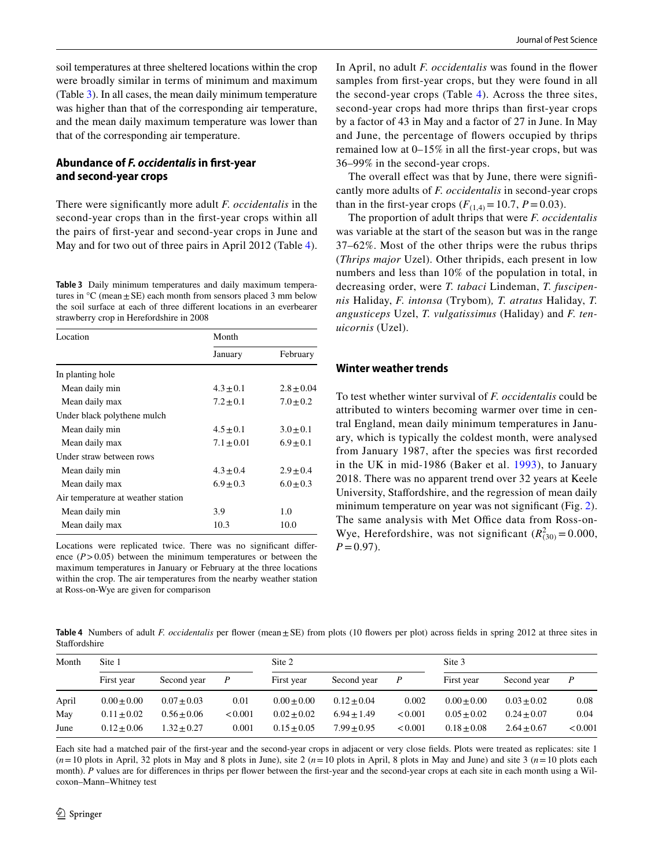soil temperatures at three sheltered locations within the crop were broadly similar in terms of minimum and maximum (Table [3\)](#page-5-0). In all cases, the mean daily minimum temperature was higher than that of the corresponding air temperature, and the mean daily maximum temperature was lower than that of the corresponding air temperature.

#### **Abundance of** *F. occidentalis* **in frst‑year and second‑year crops**

There were signifcantly more adult *F. occidentalis* in the second-year crops than in the frst-year crops within all the pairs of frst-year and second-year crops in June and May and for two out of three pairs in April 2012 (Table [4](#page-5-1)).

<span id="page-5-0"></span>**Table 3** Daily minimum temperatures and daily maximum temperatures in  ${}^{\circ}C$  (mean  $\pm$  SE) each month from sensors placed 3 mm below the soil surface at each of three diferent locations in an everbearer strawberry crop in Herefordshire in 2008

| Location                           | Month          |               |  |  |
|------------------------------------|----------------|---------------|--|--|
|                                    | January        | February      |  |  |
| In planting hole                   |                |               |  |  |
| Mean daily min                     | $4.3 + 0.1$    | $2.8 + 0.04$  |  |  |
| Mean daily max                     | $7.2 \pm 0.1$  | $7.0 \pm 0.2$ |  |  |
| Under black polythene mulch        |                |               |  |  |
| Mean daily min                     | $4.5 \pm 0.1$  | $3.0 \pm 0.1$ |  |  |
| Mean daily max                     | $7.1 \pm 0.01$ | $6.9 + 0.1$   |  |  |
| Under straw between rows           |                |               |  |  |
| Mean daily min                     | $4.3 \pm 0.4$  | $2.9 + 0.4$   |  |  |
| Mean daily max                     | $6.9 + 0.3$    | $6.0 + 0.3$   |  |  |
| Air temperature at weather station |                |               |  |  |
| Mean daily min                     | 3.9            | 1.0           |  |  |
| Mean daily max                     | 10.3           | 10.0          |  |  |

Locations were replicated twice. There was no signifcant diference  $(P > 0.05)$  between the minimum temperatures or between the maximum temperatures in January or February at the three locations within the crop. The air temperatures from the nearby weather station at Ross-on-Wye are given for comparison

In April, no adult *F. occidentalis* was found in the fower samples from frst-year crops, but they were found in all the second-year crops (Table [4](#page-5-1)). Across the three sites, second-year crops had more thrips than frst-year crops by a factor of 43 in May and a factor of 27 in June. In May and June, the percentage of fowers occupied by thrips remained low at 0–15% in all the frst-year crops, but was 36–99% in the second-year crops.

The overall effect was that by June, there were significantly more adults of *F. occidentalis* in second-year crops than in the first-year crops  $(F_{(1,4)} = 10.7, P = 0.03)$ .

The proportion of adult thrips that were *F. occidentalis* was variable at the start of the season but was in the range 37–62%. Most of the other thrips were the rubus thrips (*Thrips major* Uzel). Other thripids, each present in low numbers and less than 10% of the population in total, in decreasing order, were *T. tabaci* Lindeman, *T. fuscipennis* Haliday, *F. intonsa* (Trybom)*, T. atratus* Haliday, *T. angusticeps* Uzel, *T. vulgatissimus* (Haliday) and *F. tenuicornis* (Uzel).

#### **Winter weather trends**

To test whether winter survival of *F. occidentalis* could be attributed to winters becoming warmer over time in central England, mean daily minimum temperatures in January, which is typically the coldest month, were analysed from January 1987, after the species was frst recorded in the UK in mid-1986 (Baker et al. [1993](#page-7-0)), to January 2018. There was no apparent trend over 32 years at Keele University, Stafordshire, and the regression of mean daily minimum temperature on year was not significant (Fig. [2](#page-6-0)). The same analysis with Met Office data from Ross-on-Wye, Herefordshire, was not significant  $(R_{(30)}^2 = 0.000$ ,  $P=0.97$ .

<span id="page-5-1"></span>Table 4 Numbers of adult *F. occidentalis* per flower (mean±SE) from plots (10 flowers per plot) across fields in spring 2012 at three sites in **Staffordshire** 

| Month | Site 1        |               |                  | Site 2        |               |         | Site 3          |               |         |
|-------|---------------|---------------|------------------|---------------|---------------|---------|-----------------|---------------|---------|
|       | First year    | Second year   | $\boldsymbol{P}$ | First year    | Second year   | P       | First year      | Second year   | P       |
| April | $0.00 + 0.00$ | $0.07 + 0.03$ | 0.01             | $0.00 + 0.00$ | $0.12 + 0.04$ | 0.002   | $0.00 + 0.00$   | $0.03 + 0.02$ | 0.08    |
| May   | $0.11 + 0.02$ | $0.56 + 0.06$ | < 0.001          | $0.02 + 0.02$ | $6.94 + 1.49$ | < 0.001 | $0.05 + 0.02$   | $0.24 + 0.07$ | 0.04    |
| June  | $0.12 + 0.06$ | $1.32 + 0.27$ | 0.001            | $0.15 + 0.05$ | $7.99 + 0.95$ | < 0.001 | $0.18 \pm 0.08$ | $2.64 + 0.67$ | < 0.001 |

Each site had a matched pair of the frst-year and the second-year crops in adjacent or very close felds. Plots were treated as replicates: site 1  $(n=10)$  plots in April, 32 plots in May and 8 plots in June), site 2  $(n=10)$  plots in April, 8 plots in May and June) and site 3  $(n=10)$  plots each month). *P* values are for differences in thrips per flower between the first-year and the second-year crops at each site in each month using a Wilcoxon–Mann–Whitney test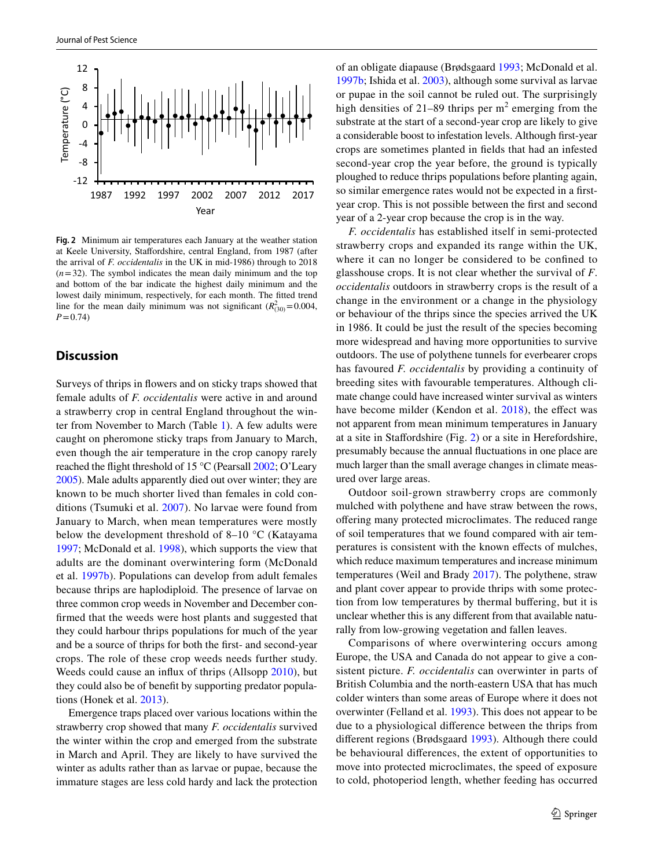

<span id="page-6-0"></span>**Fig. 2** Minimum air temperatures each January at the weather station at Keele University, Stafordshire, central England, from 1987 (after the arrival of *F. occidentalis* in the UK in mid-1986) through to 2018  $(n=32)$ . The symbol indicates the mean daily minimum and the top and bottom of the bar indicate the highest daily minimum and the lowest daily minimum, respectively, for each month. The ftted trend line for the mean daily minimum was not significant  $(R_{(30)}^2 = 0.004$ , *P*=0.74)

## **Discussion**

Surveys of thrips in fowers and on sticky traps showed that female adults of *F. occidentalis* were active in and around a strawberry crop in central England throughout the winter from November to March (Table [1](#page-4-0)). A few adults were caught on pheromone sticky traps from January to March, even though the air temperature in the crop canopy rarely reached the fight threshold of 15 °C (Pearsall [2002;](#page-8-8) O'Leary [2005](#page-8-34)). Male adults apparently died out over winter; they are known to be much shorter lived than females in cold conditions (Tsumuki et al. [2007](#page-9-2)). No larvae were found from January to March, when mean temperatures were mostly below the development threshold of 8–10 °C (Katayama [1997](#page-8-12); McDonald et al. [1998\)](#page-8-14), which supports the view that adults are the dominant overwintering form (McDonald et al. [1997b\)](#page-8-11). Populations can develop from adult females because thrips are haplodiploid. The presence of larvae on three common crop weeds in November and December confrmed that the weeds were host plants and suggested that they could harbour thrips populations for much of the year and be a source of thrips for both the frst- and second-year crops. The role of these crop weeds needs further study. Weeds could cause an infux of thrips (Allsopp [2010](#page-7-1)), but they could also be of beneft by supporting predator populations (Honek et al. [2013](#page-8-35)).

Emergence traps placed over various locations within the strawberry crop showed that many *F. occidentalis* survived the winter within the crop and emerged from the substrate in March and April. They are likely to have survived the winter as adults rather than as larvae or pupae, because the immature stages are less cold hardy and lack the protection of an obligate diapause (Brødsgaard [1993](#page-8-7); McDonald et al. [1997b](#page-8-11); Ishida et al. [2003\)](#page-8-17), although some survival as larvae or pupae in the soil cannot be ruled out. The surprisingly high densities of 21–89 thrips per  $m<sup>2</sup>$  emerging from the substrate at the start of a second-year crop are likely to give a considerable boost to infestation levels. Although frst-year crops are sometimes planted in felds that had an infested second-year crop the year before, the ground is typically ploughed to reduce thrips populations before planting again, so similar emergence rates would not be expected in a frstyear crop. This is not possible between the frst and second year of a 2-year crop because the crop is in the way.

*F. occidentalis* has established itself in semi-protected strawberry crops and expanded its range within the UK, where it can no longer be considered to be confned to glasshouse crops. It is not clear whether the survival of *F*. *occidentalis* outdoors in strawberry crops is the result of a change in the environment or a change in the physiology or behaviour of the thrips since the species arrived the UK in 1986. It could be just the result of the species becoming more widespread and having more opportunities to survive outdoors. The use of polythene tunnels for everbearer crops has favoured *F. occidentalis* by providing a continuity of breeding sites with favourable temperatures. Although climate change could have increased winter survival as winters have become milder (Kendon et al. [2018](#page-8-22)), the effect was not apparent from mean minimum temperatures in January at a site in Stafordshire (Fig. [2\)](#page-6-0) or a site in Herefordshire, presumably because the annual fuctuations in one place are much larger than the small average changes in climate measured over large areas.

Outdoor soil-grown strawberry crops are commonly mulched with polythene and have straw between the rows, ofering many protected microclimates. The reduced range of soil temperatures that we found compared with air temperatures is consistent with the known efects of mulches, which reduce maximum temperatures and increase minimum temperatures (Weil and Brady [2017\)](#page-9-5). The polythene, straw and plant cover appear to provide thrips with some protection from low temperatures by thermal bufering, but it is unclear whether this is any diferent from that available naturally from low-growing vegetation and fallen leaves.

Comparisons of where overwintering occurs among Europe, the USA and Canada do not appear to give a consistent picture. *F. occidentalis* can overwinter in parts of British Columbia and the north-eastern USA that has much colder winters than some areas of Europe where it does not overwinter (Felland et al. [1993](#page-8-24)). This does not appear to be due to a physiological diference between the thrips from diferent regions (Brødsgaard [1993\)](#page-8-7). Although there could be behavioural diferences, the extent of opportunities to move into protected microclimates, the speed of exposure to cold, photoperiod length, whether feeding has occurred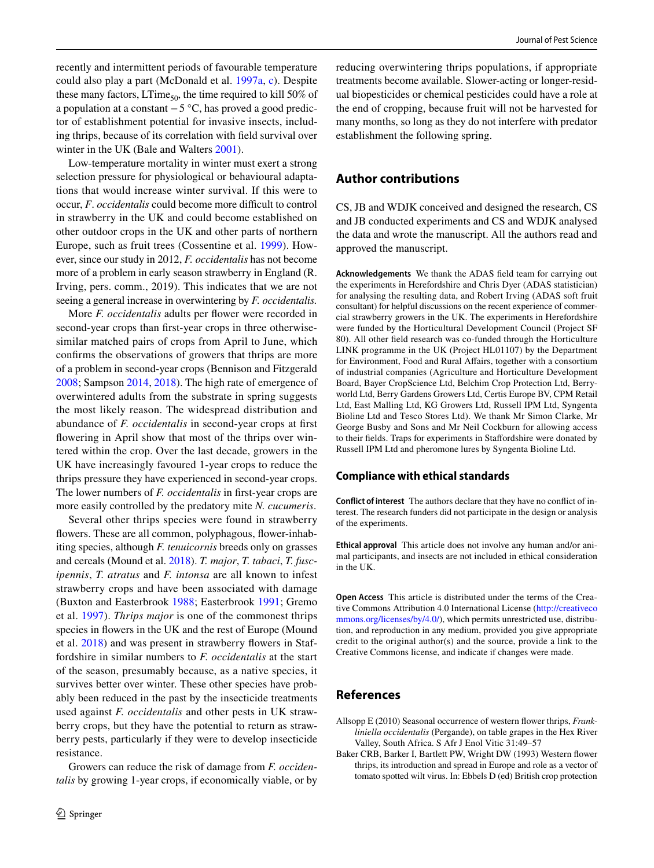recently and intermittent periods of favourable temperature could also play a part (McDonald et al. [1997a](#page-8-19), [c](#page-8-13)). Despite these many factors, LTime<sub>50</sub>, the time required to kill 50% of a population at a constant −5 °C, has proved a good predictor of establishment potential for invasive insects, including thrips, because of its correlation with feld survival over winter in the UK (Bale and Walters [2001](#page-8-36)).

Low-temperature mortality in winter must exert a strong selection pressure for physiological or behavioural adaptations that would increase winter survival. If this were to occur, *F. occidentalis* could become more difficult to control in strawberry in the UK and could become established on other outdoor crops in the UK and other parts of northern Europe, such as fruit trees (Cossentine et al. [1999\)](#page-8-37). However, since our study in 2012, *F. occidentalis* has not become more of a problem in early season strawberry in England (R. Irving, pers. comm., 2019). This indicates that we are not seeing a general increase in overwintering by *F. occidentalis.*

More *F. occidentalis* adults per flower were recorded in second-year crops than frst-year crops in three otherwisesimilar matched pairs of crops from April to June, which confrms the observations of growers that thrips are more of a problem in second-year crops (Bennison and Fitzgerald [2008](#page-8-1); Sampson [2014,](#page-8-3) [2018\)](#page-8-4). The high rate of emergence of overwintered adults from the substrate in spring suggests the most likely reason. The widespread distribution and abundance of *F. occidentalis* in second-year crops at frst fowering in April show that most of the thrips over wintered within the crop. Over the last decade, growers in the UK have increasingly favoured 1-year crops to reduce the thrips pressure they have experienced in second-year crops. The lower numbers of *F. occidentalis* in frst-year crops are more easily controlled by the predatory mite *N. cucumeris*.

Several other thrips species were found in strawberry fowers. These are all common, polyphagous, fower-inhabiting species, although *F. tenuicornis* breeds only on grasses and cereals (Mound et al. [2018\)](#page-8-30). *T. major*, *T. tabaci*, *T. fuscipennis*, *T. atratus* and *F. intonsa* are all known to infest strawberry crops and have been associated with damage (Buxton and Easterbrook [1988](#page-8-38); Easterbrook [1991](#page-8-39); Gremo et al. [1997\)](#page-8-40). *Thrips major* is one of the commonest thrips species in fowers in the UK and the rest of Europe (Mound et al. [2018](#page-8-30)) and was present in strawberry fowers in Staffordshire in similar numbers to *F. occidentalis* at the start of the season, presumably because, as a native species, it survives better over winter. These other species have probably been reduced in the past by the insecticide treatments used against *F. occidentalis* and other pests in UK strawberry crops, but they have the potential to return as strawberry pests, particularly if they were to develop insecticide resistance.

Growers can reduce the risk of damage from *F. occidentalis* by growing 1-year crops, if economically viable, or by reducing overwintering thrips populations, if appropriate treatments become available. Slower-acting or longer-residual biopesticides or chemical pesticides could have a role at the end of cropping, because fruit will not be harvested for many months, so long as they do not interfere with predator establishment the following spring.

## **Author contributions**

CS, JB and WDJK conceived and designed the research, CS and JB conducted experiments and CS and WDJK analysed the data and wrote the manuscript. All the authors read and approved the manuscript.

**Acknowledgements** We thank the ADAS feld team for carrying out the experiments in Herefordshire and Chris Dyer (ADAS statistician) for analysing the resulting data, and Robert Irving (ADAS soft fruit consultant) for helpful discussions on the recent experience of commercial strawberry growers in the UK. The experiments in Herefordshire were funded by the Horticultural Development Council (Project SF 80). All other feld research was co-funded through the Horticulture LINK programme in the UK (Project HL01107) by the Department for Environment, Food and Rural Afairs, together with a consortium of industrial companies (Agriculture and Horticulture Development Board, Bayer CropScience Ltd, Belchim Crop Protection Ltd, Berryworld Ltd, Berry Gardens Growers Ltd, Certis Europe BV, CPM Retail Ltd, East Malling Ltd, KG Growers Ltd, Russell IPM Ltd, Syngenta Bioline Ltd and Tesco Stores Ltd). We thank Mr Simon Clarke, Mr George Busby and Sons and Mr Neil Cockburn for allowing access to their felds. Traps for experiments in Stafordshire were donated by Russell IPM Ltd and pheromone lures by Syngenta Bioline Ltd.

## **Compliance with ethical standards**

**Conflict of interest** The authors declare that they have no confict of interest. The research funders did not participate in the design or analysis of the experiments.

**Ethical approval** This article does not involve any human and/or animal participants, and insects are not included in ethical consideration in the UK.

**Open Access** This article is distributed under the terms of the Creative Commons Attribution 4.0 International License ([http://creativeco](http://creativecommons.org/licenses/by/4.0/) [mmons.org/licenses/by/4.0/](http://creativecommons.org/licenses/by/4.0/)), which permits unrestricted use, distribution, and reproduction in any medium, provided you give appropriate credit to the original author(s) and the source, provide a link to the Creative Commons license, and indicate if changes were made.

# **References**

- <span id="page-7-1"></span>Allsopp E (2010) Seasonal occurrence of western fower thrips, *Frankliniella occidentalis* (Pergande), on table grapes in the Hex River Valley, South Africa. S Afr J Enol Vitic 31:49–57
- <span id="page-7-0"></span>Baker CRB, Barker I, Bartlett PW, Wright DW (1993) Western fower thrips, its introduction and spread in Europe and role as a vector of tomato spotted wilt virus. In: Ebbels D (ed) British crop protection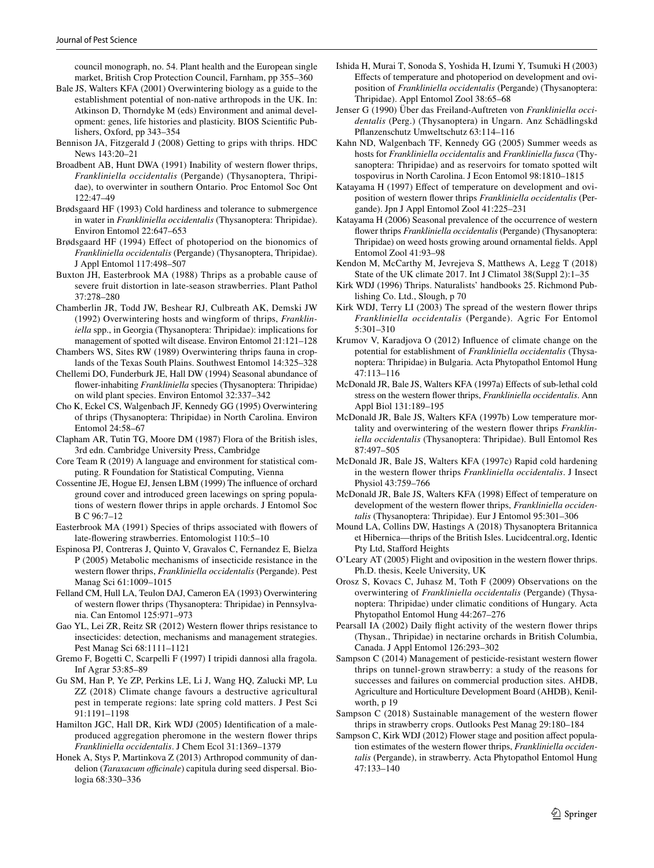council monograph, no. 54. Plant health and the European single market, British Crop Protection Council, Farnham, pp 355–360

- <span id="page-8-36"></span>Bale JS, Walters KFA (2001) Overwintering biology as a guide to the establishment potential of non-native arthropods in the UK. In: Atkinson D, Thorndyke M (eds) Environment and animal development: genes, life histories and plasticity. BIOS Scientifc Publishers, Oxford, pp 343–354
- <span id="page-8-1"></span>Bennison JA, Fitzgerald J (2008) Getting to grips with thrips. HDC News 143:20–21
- <span id="page-8-6"></span>Broadbent AB, Hunt DWA (1991) Inability of western fower thrips, *Frankliniella occidentalis* (Pergande) (Thysanoptera, Thripidae), to overwinter in southern Ontario. Proc Entomol Soc Ont 122:47–49
- <span id="page-8-7"></span>Brødsgaard HF (1993) Cold hardiness and tolerance to submergence in water in *Frankliniella occidentalis* (Thysanoptera: Thripidae). Environ Entomol 22:647–653
- <span id="page-8-16"></span>Brødsgaard HF (1994) Efect of photoperiod on the bionomics of *Frankliniella occidentalis* (Pergande) (Thysanoptera, Thripidae). J Appl Entomol 117:498–507
- <span id="page-8-38"></span>Buxton JH, Easterbrook MA (1988) Thrips as a probable cause of severe fruit distortion in late-season strawberries. Plant Pathol 37:278–280
- <span id="page-8-23"></span>Chamberlin JR, Todd JW, Beshear RJ, Culbreath AK, Demski JW (1992) Overwintering hosts and wingform of thrips, *Frankliniella* spp., in Georgia (Thysanoptera: Thripidae): implications for management of spotted wilt disease. Environ Entomol 21:121–128
- <span id="page-8-5"></span>Chambers WS, Sites RW (1989) Overwintering thrips fauna in croplands of the Texas South Plains. Southwest Entomol 14:325–328
- <span id="page-8-25"></span>Chellemi DO, Funderburk JE, Hall DW (1994) Seasonal abundance of fower-inhabiting *Frankliniella* species (Thysanoptera: Thripidae) on wild plant species. Environ Entomol 32:337–342
- <span id="page-8-26"></span>Cho K, Eckel CS, Walgenbach JF, Kennedy GG (1995) Overwintering of thrips (Thysanoptera: Thripidae) in North Carolina. Environ Entomol 24:58–67
- <span id="page-8-29"></span>Clapham AR, Tutin TG, Moore DM (1987) Flora of the British isles, 3rd edn. Cambridge University Press, Cambridge
- <span id="page-8-33"></span>Core Team R (2019) A language and environment for statistical computing. R Foundation for Statistical Computing, Vienna
- <span id="page-8-37"></span>Cossentine JE, Hogue EJ, Jensen LBM (1999) The infuence of orchard ground cover and introduced green lacewings on spring populations of western fower thrips in apple orchards. J Entomol Soc B C 96:7–12
- <span id="page-8-39"></span>Easterbrook MA (1991) Species of thrips associated with fowers of late-fowering strawberries. Entomologist 110:5–10
- <span id="page-8-0"></span>Espinosa PJ, Contreras J, Quinto V, Gravalos C, Fernandez E, Bielza P (2005) Metabolic mechanisms of insecticide resistance in the western fower thrips, *Frankliniella occidentalis* (Pergande). Pest Manag Sci 61:1009–1015
- <span id="page-8-24"></span>Felland CM, Hull LA, Teulon DAJ, Cameron EA (1993) Overwintering of western fower thrips (Thysanoptera: Thripidae) in Pennsylvania. Can Entomol 125:971–973
- <span id="page-8-2"></span>Gao YL, Lei ZR, Reitz SR (2012) Western fower thrips resistance to insecticides: detection, mechanisms and management strategies. Pest Manag Sci 68:1111–1121
- <span id="page-8-40"></span>Gremo F, Bogetti C, Scarpelli F (1997) I tripidi dannosi alla fragola. Inf Agrar 53:85–89
- <span id="page-8-15"></span>Gu SM, Han P, Ye ZP, Perkins LE, Li J, Wang HQ, Zalucki MP, Lu ZZ (2018) Climate change favours a destructive agricultural pest in temperate regions: late spring cold matters. J Pest Sci 91:1191–1198
- <span id="page-8-31"></span>Hamilton JGC, Hall DR, Kirk WDJ (2005) Identifcation of a maleproduced aggregation pheromone in the western fower thrips *Frankliniella occidentalis*. J Chem Ecol 31:1369–1379
- <span id="page-8-35"></span>Honek A, Stys P, Martinkova Z (2013) Arthropod community of dandelion (*Taraxacum officinale*) capitula during seed dispersal. Biologia 68:330–336
- <span id="page-8-17"></span>Ishida H, Murai T, Sonoda S, Yoshida H, Izumi Y, Tsumuki H (2003) Efects of temperature and photoperiod on development and oviposition of *Frankliniella occidentalis* (Pergande) (Thysanoptera: Thripidae). Appl Entomol Zool 38:65–68
- <span id="page-8-20"></span>Jenser G (1990) Über das Freiland-Auftreten von *Frankliniella occidentalis* (Perg.) (Thysanoptera) in Ungarn. Anz Schädlingskd Pfanzenschutz Umweltschutz 63:114–116
- <span id="page-8-27"></span>Kahn ND, Walgenbach TF, Kennedy GG (2005) Summer weeds as hosts for *Frankliniella occidentalis* and *Frankliniella fusca* (Thysanoptera: Thripidae) and as reservoirs for tomato spotted wilt tospovirus in North Carolina. J Econ Entomol 98:1810–1815
- <span id="page-8-12"></span>Katayama H (1997) Effect of temperature on development and oviposition of western fower thrips *Frankliniella occidentalis* (Pergande). Jpn J Appl Entomol Zool 41:225–231
- <span id="page-8-28"></span>Katayama H (2006) Seasonal prevalence of the occurrence of western fower thrips *Frankliniella occidentalis* (Pergande) (Thysanoptera: Thripidae) on weed hosts growing around ornamental felds. Appl Entomol Zool 41:93–98
- <span id="page-8-22"></span>Kendon M, McCarthy M, Jevrejeva S, Matthews A, Legg T (2018) State of the UK climate 2017. Int J Climatol 38(Suppl 2):1–35
- <span id="page-8-18"></span>Kirk WDJ (1996) Thrips. Naturalists' handbooks 25. Richmond Publishing Co. Ltd., Slough, p 70
- <span id="page-8-9"></span>Kirk WDJ, Terry LI (2003) The spread of the western fower thrips *Frankliniella occidentalis* (Pergande). Agric For Entomol 5:301–310
- <span id="page-8-10"></span>Krumov V, Karadjova O (2012) Infuence of climate change on the potential for establishment of *Frankliniella occidentalis* (Thysanoptera: Thripidae) in Bulgaria. Acta Phytopathol Entomol Hung 47:113–116
- <span id="page-8-19"></span>McDonald JR, Bale JS, Walters KFA (1997a) Efects of sub-lethal cold stress on the western fower thrips, *Frankliniella occidentalis*. Ann Appl Biol 131:189–195
- <span id="page-8-11"></span>McDonald JR, Bale JS, Walters KFA (1997b) Low temperature mortality and overwintering of the western fower thrips *Frankliniella occidentalis* (Thysanoptera: Thripidae). Bull Entomol Res 87:497–505
- <span id="page-8-13"></span>McDonald JR, Bale JS, Walters KFA (1997c) Rapid cold hardening in the western fower thrips *Frankliniella occidentalis*. J Insect Physiol 43:759–766
- <span id="page-8-14"></span>McDonald JR, Bale JS, Walters KFA (1998) Efect of temperature on development of the western fower thrips, *Frankliniella occidentalis* (Thysanoptera: Thripidae). Eur J Entomol 95:301–306
- <span id="page-8-30"></span>Mound LA, Collins DW, Hastings A (2018) Thysanoptera Britannica et Hibernica—thrips of the British Isles. Lucidcentral.org, Identic Pty Ltd, Staford Heights
- <span id="page-8-34"></span>O'Leary AT (2005) Flight and oviposition in the western fower thrips. Ph.D. thesis, Keele University, UK
- <span id="page-8-21"></span>Orosz S, Kovacs C, Juhasz M, Toth F (2009) Observations on the overwintering of *Frankliniella occidentalis* (Pergande) (Thysanoptera: Thripidae) under climatic conditions of Hungary. Acta Phytopathol Entomol Hung 44:267–276
- <span id="page-8-8"></span>Pearsall IA (2002) Daily fight activity of the western fower thrips (Thysan., Thripidae) in nectarine orchards in British Columbia, Canada. J Appl Entomol 126:293–302
- <span id="page-8-3"></span>Sampson C (2014) Management of pesticide-resistant western fower thrips on tunnel-grown strawberry: a study of the reasons for successes and failures on commercial production sites. AHDB, Agriculture and Horticulture Development Board (AHDB), Kenilworth, p 19
- <span id="page-8-4"></span>Sampson C (2018) Sustainable management of the western flower thrips in strawberry crops. Outlooks Pest Manag 29:180–184
- <span id="page-8-32"></span>Sampson C, Kirk WDJ (2012) Flower stage and position afect population estimates of the western fower thrips, *Frankliniella occidentalis* (Pergande), in strawberry. Acta Phytopathol Entomol Hung 47:133–140